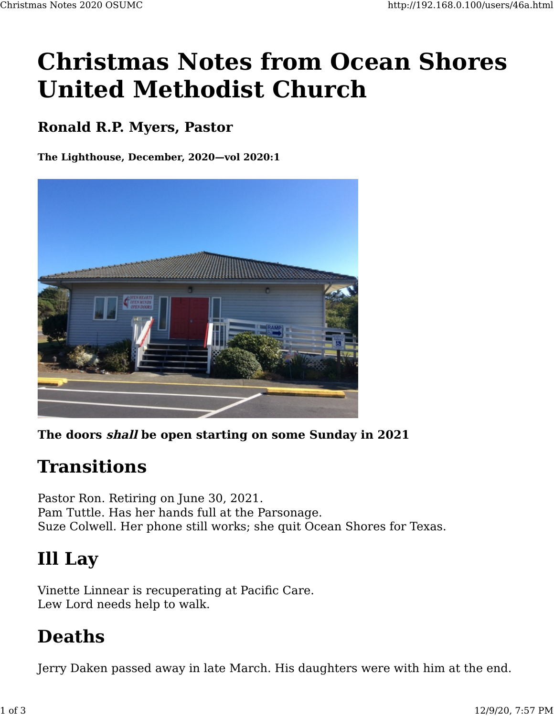# **Christmas Notes from Ocean Shores United Methodist Church**

#### **Ronald R.P. Myers, Pastor**

**The Lighthouse, December, 2020—vol 2020:1**



**The doors shall be open starting on some Sunday in 2021**

#### **Transitions**

Pastor Ron. Retiring on June 30, 2021. Pam Tuttle. Has her hands full at the Parsonage. Suze Colwell. Her phone still works; she quit Ocean Shores for Texas.

## **Ill Lay**

Vinette Linnear is recuperating at Pacific Care. Lew Lord needs help to walk.

## **Deaths**

Jerry Daken passed away in late March. His daughters were with him at the end.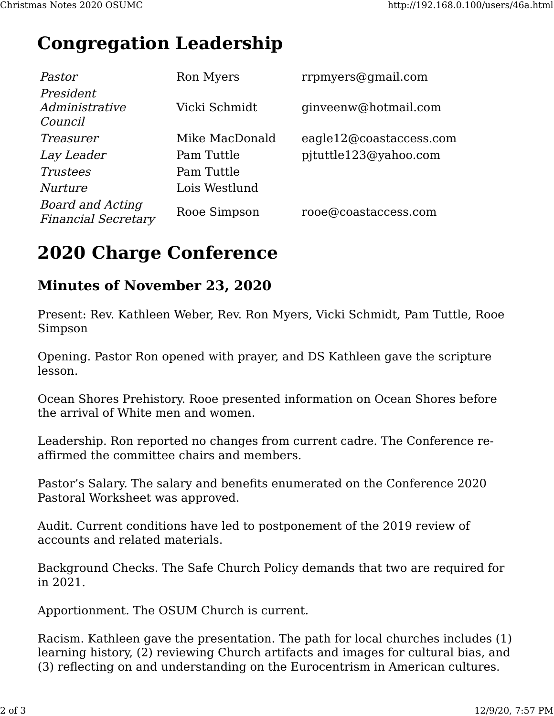### **Congregation Leadership**

| Pastor                                                | Ron Myers      | rrpmyers@gmail.com      |
|-------------------------------------------------------|----------------|-------------------------|
| President<br>Administrative<br>Council                | Vicki Schmidt  | ginveenw@hotmail.com    |
| Treasurer                                             | Mike MacDonald | eagle12@coastaccess.com |
| Lay Leader                                            | Pam Tuttle     | pjtuttle123@yahoo.com   |
| <i>Trustees</i>                                       | Pam Tuttle     |                         |
| Nurture                                               | Lois Westlund  |                         |
| <b>Board and Acting</b><br><b>Financial Secretary</b> | Rooe Simpson   | rooe@coastaccess.com    |

### **2020 Charge Conference**

#### **Minutes of November 23, 2020**

Present: Rev. Kathleen Weber, Rev. Ron Myers, Vicki Schmidt, Pam Tuttle, Rooe Simpson

Opening. Pastor Ron opened with prayer, and DS Kathleen gave the scripture lesson.

Ocean Shores Prehistory. Rooe presented information on Ocean Shores before the arrival of White men and women.

Leadership. Ron reported no changes from current cadre. The Conference reaffirmed the committee chairs and members.

Pastor's Salary. The salary and benefits enumerated on the Conference 2020 Pastoral Worksheet was approved.

Audit. Current conditions have led to postponement of the 2019 review of accounts and related materials.

Background Checks. The Safe Church Policy demands that two are required for in 2021.

Apportionment. The OSUM Church is current.

Racism. Kathleen gave the presentation. The path for local churches includes (1) learning history, (2) reviewing Church artifacts and images for cultural bias, and (3) reflecting on and understanding on the Eurocentrism in American cultures.